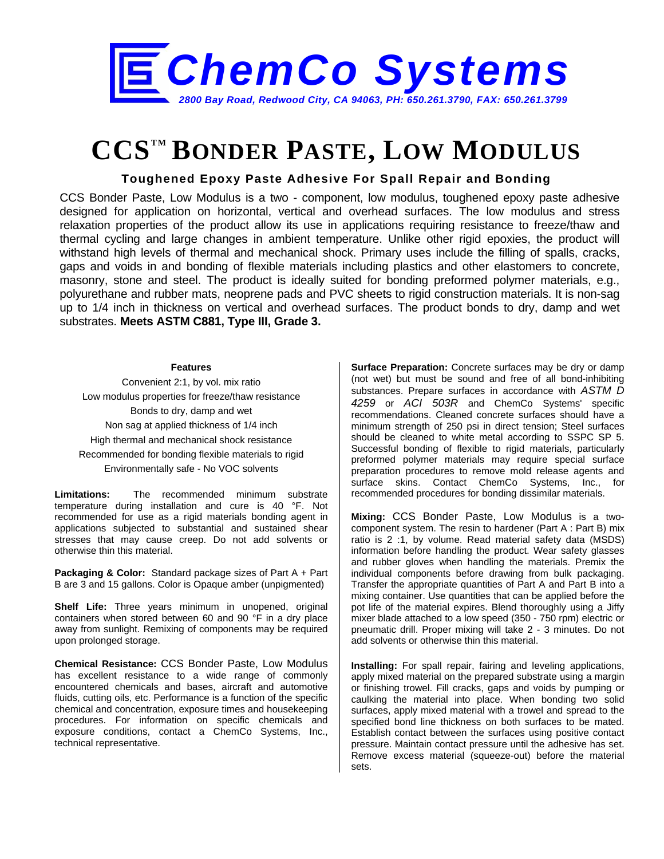

## **CCSTM BONDER PASTE, LOW MODULUS**

## **Toughened Epoxy Paste Adhesive For Spall Repair and Bonding**

CCS Bonder Paste, Low Modulus is a two - component, low modulus, toughened epoxy paste adhesive designed for application on horizontal, vertical and overhead surfaces. The low modulus and stress relaxation properties of the product allow its use in applications requiring resistance to freeze/thaw and thermal cycling and large changes in ambient temperature. Unlike other rigid epoxies, the product will withstand high levels of thermal and mechanical shock. Primary uses include the filling of spalls, cracks, gaps and voids in and bonding of flexible materials including plastics and other elastomers to concrete, masonry, stone and steel. The product is ideally suited for bonding preformed polymer materials, e.g., polyurethane and rubber mats, neoprene pads and PVC sheets to rigid construction materials. It is non-sag up to 1/4 inch in thickness on vertical and overhead surfaces. The product bonds to dry, damp and wet substrates. **Meets ASTM C881, Type III, Grade 3.**

## **Features**

Convenient 2:1, by vol. mix ratio Low modulus properties for freeze/thaw resistance Bonds to dry, damp and wet Non sag at applied thickness of 1/4 inch High thermal and mechanical shock resistance Recommended for bonding flexible materials to rigid Environmentally safe - No VOC solvents

**Limitations:** The recommended minimum substrate temperature during installation and cure is 40 °F. Not recommended for use as a rigid materials bonding agent in applications subjected to substantial and sustained shear stresses that may cause creep. Do not add solvents or otherwise thin this material.

**Packaging & Color:** Standard package sizes of Part A + Part B are 3 and 15 gallons. Color is Opaque amber (unpigmented)

**Shelf Life:** Three years minimum in unopened, original containers when stored between 60 and 90 °F in a dry place away from sunlight. Remixing of components may be required upon prolonged storage.

**Chemical Resistance:** CCS Bonder Paste, Low Modulus has excellent resistance to a wide range of commonly encountered chemicals and bases, aircraft and automotive fluids, cutting oils, etc. Performance is a function of the specific chemical and concentration, exposure times and housekeeping procedures. For information on specific chemicals and exposure conditions, contact a ChemCo Systems, Inc., technical representative.

**Surface Preparation:** Concrete surfaces may be dry or damp (not wet) but must be sound and free of all bond-inhibiting substances. Prepare surfaces in accordance with *ASTM D 4259* or *ACI 503R* and ChemCo Systems' specific recommendations. Cleaned concrete surfaces should have a minimum strength of 250 psi in direct tension; Steel surfaces should be cleaned to white metal according to SSPC SP 5. Successful bonding of flexible to rigid materials, particularly preformed polymer materials may require special surface preparation procedures to remove mold release agents and surface skins. Contact ChemCo Systems, Inc., for recommended procedures for bonding dissimilar materials.

**Mixing:** CCS Bonder Paste, Low Modulus is a twocomponent system. The resin to hardener (Part A : Part B) mix ratio is 2 :1, by volume. Read material safety data (MSDS) information before handling the product. Wear safety glasses and rubber gloves when handling the materials. Premix the individual components before drawing from bulk packaging. Transfer the appropriate quantities of Part A and Part B into a mixing container. Use quantities that can be applied before the pot life of the material expires. Blend thoroughly using a Jiffy mixer blade attached to a low speed (350 - 750 rpm) electric or pneumatic drill. Proper mixing will take 2 - 3 minutes. Do not add solvents or otherwise thin this material.

**Installing:** For spall repair, fairing and leveling applications, apply mixed material on the prepared substrate using a margin or finishing trowel. Fill cracks, gaps and voids by pumping or caulking the material into place. When bonding two solid surfaces, apply mixed material with a trowel and spread to the specified bond line thickness on both surfaces to be mated. Establish contact between the surfaces using positive contact pressure. Maintain contact pressure until the adhesive has set. Remove excess material (squeeze-out) before the material sets.